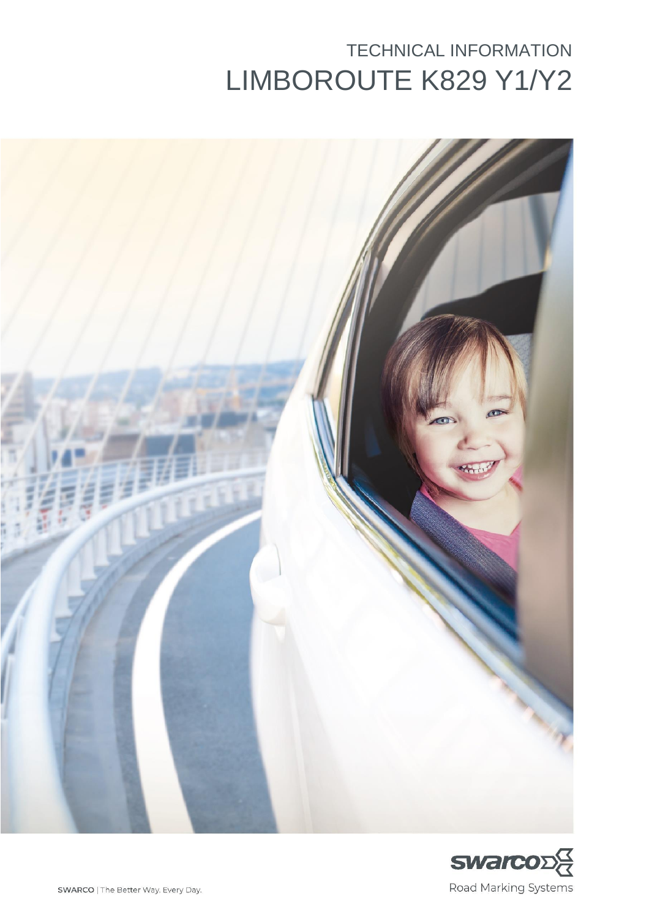# TECHNICAL INFORMATION LIMBOROUTE K829 Y1/Y2



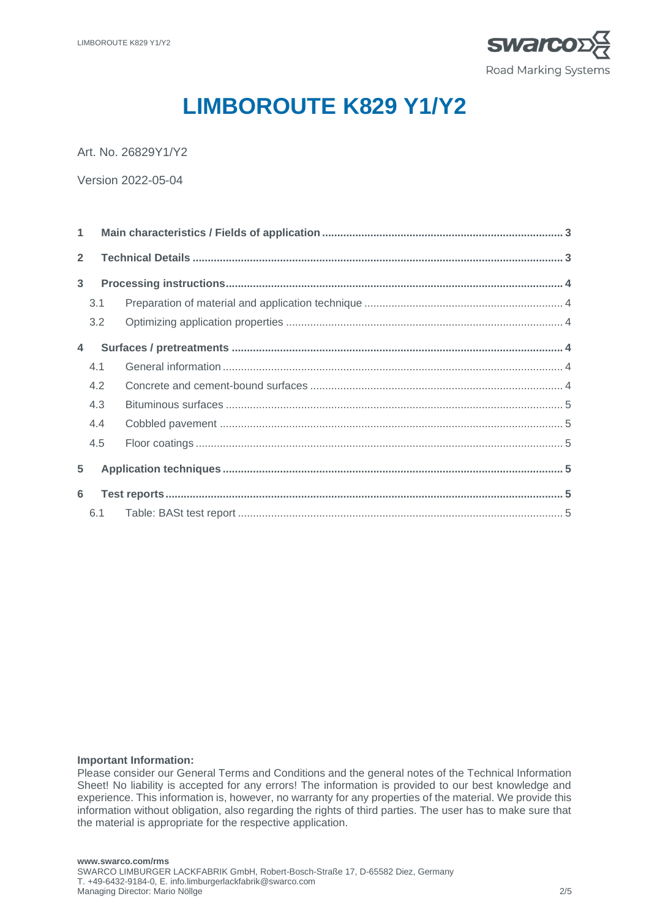

# **LIMBOROUTE K829 Y1/Y2**

Art. No. 26829Y1/Y2

Version 2022-05-04

| $\overline{2}$ |     |  |  |  |  |  |  |  |  |
|----------------|-----|--|--|--|--|--|--|--|--|
| $\mathbf{3}$   |     |  |  |  |  |  |  |  |  |
|                | 3.1 |  |  |  |  |  |  |  |  |
|                | 3.2 |  |  |  |  |  |  |  |  |
| $\overline{4}$ |     |  |  |  |  |  |  |  |  |
|                | 4.1 |  |  |  |  |  |  |  |  |
|                | 4.2 |  |  |  |  |  |  |  |  |
|                | 4.3 |  |  |  |  |  |  |  |  |
|                | 4.4 |  |  |  |  |  |  |  |  |
|                | 4.5 |  |  |  |  |  |  |  |  |
| 5              |     |  |  |  |  |  |  |  |  |
| 6              |     |  |  |  |  |  |  |  |  |
|                |     |  |  |  |  |  |  |  |  |

#### **Important Information:**

Please consider our General Terms and Conditions and the general notes of the Technical Information Sheet! No liability is accepted for any errors! The information is provided to our best knowledge and experience. This information is, however, no warranty for any properties of the material. We provide this information without obligation, also regarding the rights of third parties. The user has to make sure that the material is appropriate for the respective application.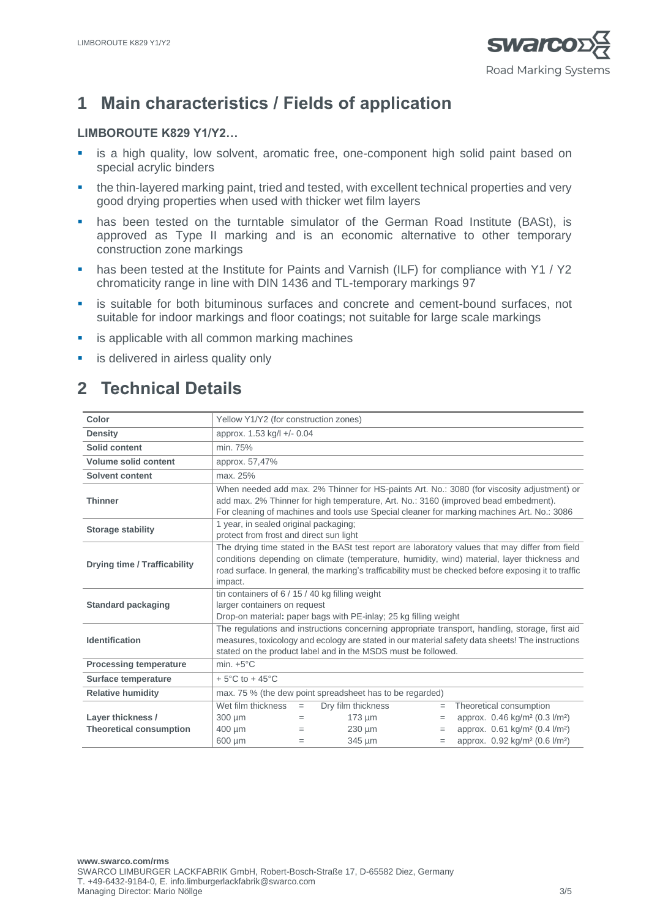

# **1 Main characteristics / Fields of application**

#### **LIMBOROUTE K829 Y1/Y2…**

- **E** is a high quality, low solvent, aromatic free, one-component high solid paint based on special acrylic binders
- the thin-layered marking paint, tried and tested, with excellent technical properties and very good drying properties when used with thicker wet film layers
- has been tested on the turntable simulator of the German Road Institute (BASt), is approved as Type II marking and is an economic alternative to other temporary construction zone markings
- has been tested at the Institute for Paints and Varnish (ILF) for compliance with Y1 / Y2 chromaticity range in line with DIN 1436 and TL-temporary markings 97
- **.** is suitable for both bituminous surfaces and concrete and cement-bound surfaces, not suitable for indoor markings and floor coatings; not suitable for large scale markings
- is applicable with all common marking machines
- **E** is delivered in airless quality only

# **2 Technical Details**

| Color                                               | Yellow Y1/Y2 (for construction zones)                                                                                                                                                                                                                                                                             |                   |                                                  |                        |                                                                                                                                             |  |
|-----------------------------------------------------|-------------------------------------------------------------------------------------------------------------------------------------------------------------------------------------------------------------------------------------------------------------------------------------------------------------------|-------------------|--------------------------------------------------|------------------------|---------------------------------------------------------------------------------------------------------------------------------------------|--|
| <b>Density</b>                                      | approx. 1.53 kg/l +/- 0.04                                                                                                                                                                                                                                                                                        |                   |                                                  |                        |                                                                                                                                             |  |
| Solid content                                       | min. 75%                                                                                                                                                                                                                                                                                                          |                   |                                                  |                        |                                                                                                                                             |  |
| <b>Volume solid content</b>                         | approx. 57,47%                                                                                                                                                                                                                                                                                                    |                   |                                                  |                        |                                                                                                                                             |  |
| Solvent content                                     | max. 25%                                                                                                                                                                                                                                                                                                          |                   |                                                  |                        |                                                                                                                                             |  |
| <b>Thinner</b>                                      | When needed add max. 2% Thinner for HS-paints Art. No.: 3080 (for viscosity adjustment) or<br>add max. 2% Thinner for high temperature, Art. No.: 3160 (improved bead embedment).<br>For cleaning of machines and tools use Special cleaner for marking machines Art. No.: 3086                                   |                   |                                                  |                        |                                                                                                                                             |  |
| <b>Storage stability</b>                            | 1 year, in sealed original packaging;<br>protect from frost and direct sun light                                                                                                                                                                                                                                  |                   |                                                  |                        |                                                                                                                                             |  |
| <b>Drying time / Trafficability</b>                 | The drying time stated in the BASt test report are laboratory values that may differ from field<br>conditions depending on climate (temperature, humidity, wind) material, layer thickness and<br>road surface. In general, the marking's trafficability must be checked before exposing it to traffic<br>impact. |                   |                                                  |                        |                                                                                                                                             |  |
| <b>Standard packaging</b>                           | tin containers of $6/15/40$ kg filling weight<br>larger containers on request<br>Drop-on material: paper bags with PE-inlay; 25 kg filling weight                                                                                                                                                                 |                   |                                                  |                        |                                                                                                                                             |  |
| <b>Identification</b>                               | The regulations and instructions concerning appropriate transport, handling, storage, first aid<br>measures, toxicology and ecology are stated in our material safety data sheets! The instructions<br>stated on the product label and in the MSDS must be followed.                                              |                   |                                                  |                        |                                                                                                                                             |  |
| <b>Processing temperature</b>                       | min. $+5^{\circ}$ C                                                                                                                                                                                                                                                                                               |                   |                                                  |                        |                                                                                                                                             |  |
| Surface temperature                                 | $+5^{\circ}$ C to $+45^{\circ}$ C                                                                                                                                                                                                                                                                                 |                   |                                                  |                        |                                                                                                                                             |  |
| <b>Relative humidity</b>                            | max. 75 % (the dew point spreadsheet has to be regarded)                                                                                                                                                                                                                                                          |                   |                                                  |                        |                                                                                                                                             |  |
| Layer thickness /<br><b>Theoretical consumption</b> | Wet film thickness<br>300 µm<br>400 um                                                                                                                                                                                                                                                                            | $=$<br>$=$<br>$=$ | Dry film thickness<br>$173 \mu m$<br>$230 \mu m$ | $\equiv$<br>$=$<br>$=$ | Theoretical consumption<br>approx. 0.46 kg/m <sup>2</sup> (0.3 l/m <sup>2</sup> )<br>approx. 0.61 kg/m <sup>2</sup> (0.4 l/m <sup>2</sup> ) |  |
|                                                     | 600 µm                                                                                                                                                                                                                                                                                                            | $=$               | 345 µm                                           | $=$                    | approx. 0.92 kg/m <sup>2</sup> (0.6 l/m <sup>2</sup> )                                                                                      |  |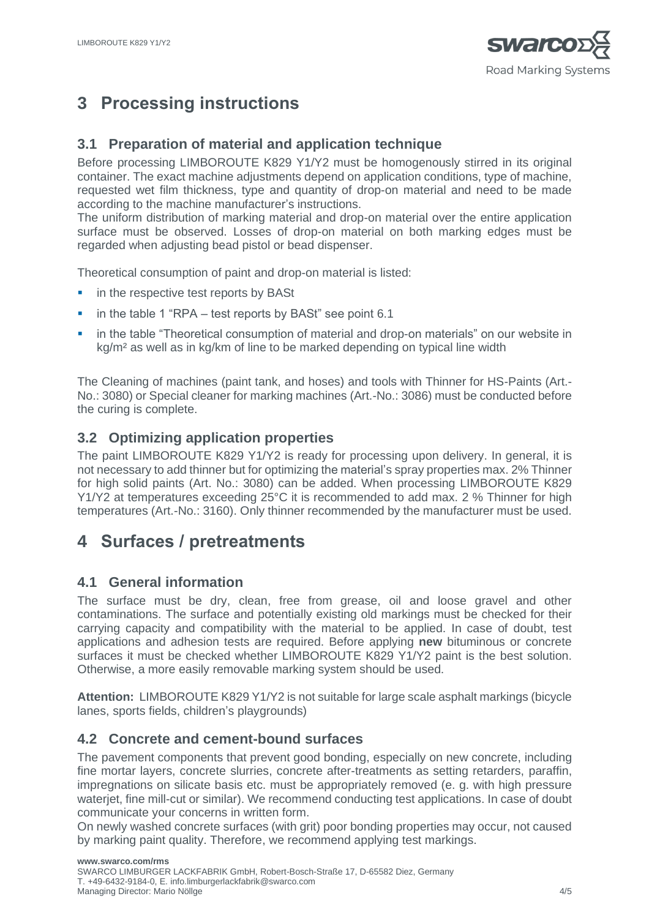

# **3 Processing instructions**

### **3.1 Preparation of material and application technique**

Before processing LIMBOROUTE K829 Y1/Y2 must be homogenously stirred in its original container. The exact machine adjustments depend on application conditions, type of machine, requested wet film thickness, type and quantity of drop-on material and need to be made according to the machine manufacturer's instructions.

The uniform distribution of marking material and drop-on material over the entire application surface must be observed. Losses of drop-on material on both marking edges must be regarded when adjusting bead pistol or bead dispenser.

Theoretical consumption of paint and drop-on material is listed:

- in the respective test reports by BASt
- in the table 1 "RPA  $-$  test reports by BASt" see point 6.1
- in the table "Theoretical consumption of material and drop-on materials" on our website in kg/m² as well as in kg/km of line to be marked depending on typical line width

The Cleaning of machines (paint tank, and hoses) and tools with Thinner for HS-Paints (Art.- No.: 3080) or Special cleaner for marking machines (Art.-No.: 3086) must be conducted before the curing is complete.

### **3.2 Optimizing application properties**

The paint LIMBOROUTE K829 Y1/Y2 is ready for processing upon delivery. In general, it is not necessary to add thinner but for optimizing the material's spray properties max. 2% Thinner for high solid paints (Art. No.: 3080) can be added. When processing LIMBOROUTE K829 Y1/Y2 at temperatures exceeding 25°C it is recommended to add max. 2 % Thinner for high temperatures (Art.-No.: 3160). Only thinner recommended by the manufacturer must be used.

## **4 Surfaces / pretreatments**

#### **4.1 General information**

The surface must be dry, clean, free from grease, oil and loose gravel and other contaminations. The surface and potentially existing old markings must be checked for their carrying capacity and compatibility with the material to be applied. In case of doubt, test applications and adhesion tests are required. Before applying **new** bituminous or concrete surfaces it must be checked whether LIMBOROUTE K829 Y1/Y2 paint is the best solution. Otherwise, a more easily removable marking system should be used.

**Attention:** LIMBOROUTE K829 Y1/Y2 is not suitable for large scale asphalt markings (bicycle lanes, sports fields, children's playgrounds)

#### **4.2 Concrete and cement-bound surfaces**

The pavement components that prevent good bonding, especially on new concrete, including fine mortar layers, concrete slurries, concrete after-treatments as setting retarders, paraffin, impregnations on silicate basis etc. must be appropriately removed (e. g. with high pressure waterjet, fine mill-cut or similar). We recommend conducting test applications. In case of doubt communicate your concerns in written form.

On newly washed concrete surfaces (with grit) poor bonding properties may occur, not caused by marking paint quality. Therefore, we recommend applying test markings.